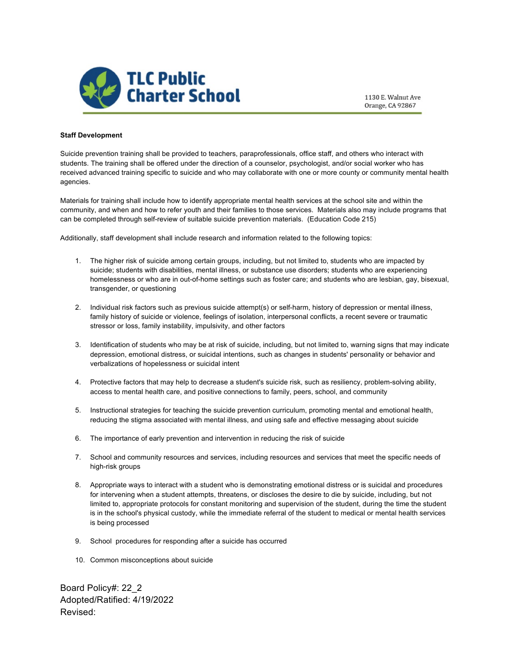

1130 E. Walnut Ave Orange, CA 92867

## **Staff Development**

Suicide prevention training shall be provided to teachers, paraprofessionals, office staff, and others who interact with students. The training shall be offered under the direction of a counselor, psychologist, and/or social worker who has received advanced training specific to suicide and who may collaborate with one or more county or community mental health agencies.

Materials for training shall include how to identify appropriate mental health services at the school site and within the community, and when and how to refer youth and their families to those services. Materials also may include programs that can be completed through self-review of suitable suicide prevention materials. (Education Code 215)

Additionally, staff development shall include research and information related to the following topics:

- 1. The higher risk of suicide among certain groups, including, but not limited to, students who are impacted by suicide; students with disabilities, mental illness, or substance use disorders; students who are experiencing homelessness or who are in out-of-home settings such as foster care; and students who are lesbian, gay, bisexual, transgender, or questioning
- 2. Individual risk factors such as previous suicide attempt(s) or self-harm, history of depression or mental illness, family history of suicide or violence, feelings of isolation, interpersonal conflicts, a recent severe or traumatic stressor or loss, family instability, impulsivity, and other factors
- 3. Identification of students who may be at risk of suicide, including, but not limited to, warning signs that may indicate depression, emotional distress, or suicidal intentions, such as changes in students' personality or behavior and verbalizations of hopelessness or suicidal intent
- 4. Protective factors that may help to decrease a student's suicide risk, such as resiliency, problem-solving ability, access to mental health care, and positive connections to family, peers, school, and community
- 5. Instructional strategies for teaching the suicide prevention curriculum, promoting mental and emotional health, reducing the stigma associated with mental illness, and using safe and effective messaging about suicide
- 6. The importance of early prevention and intervention in reducing the risk of suicide
- 7. School and community resources and services, including resources and services that meet the specific needs of high-risk groups
- 8. Appropriate ways to interact with a student who is demonstrating emotional distress or is suicidal and procedures for intervening when a student attempts, threatens, or discloses the desire to die by suicide, including, but not limited to, appropriate protocols for constant monitoring and supervision of the student, during the time the student is in the school's physical custody, while the immediate referral of the student to medical or mental health services is being processed
- 9. School procedures for responding after a suicide has occurred
- 10. Common misconceptions about suicide

Board Policy#: 22\_2 Adopted/Ratified: 4/19/2022 Revised: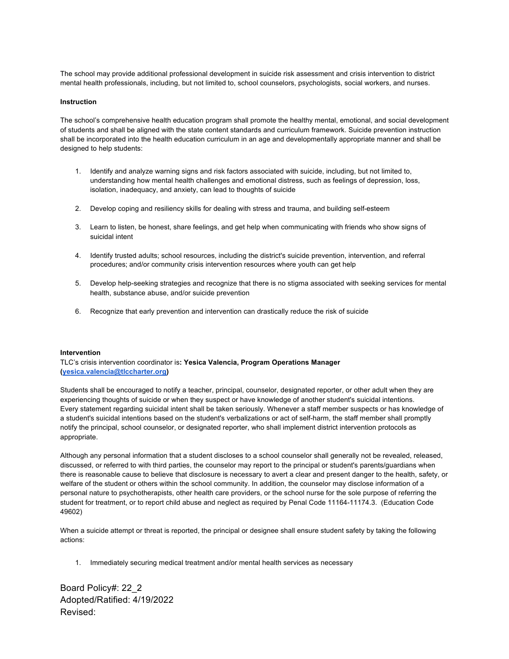The school may provide additional professional development in suicide risk assessment and crisis intervention to district mental health professionals, including, but not limited to, school counselors, psychologists, social workers, and nurses.

## **Instruction**

The school's comprehensive health education program shall promote the healthy mental, emotional, and social development of students and shall be aligned with the state content standards and curriculum framework. Suicide prevention instruction shall be incorporated into the health education curriculum in an age and developmentally appropriate manner and shall be designed to help students:

- 1. Identify and analyze warning signs and risk factors associated with suicide, including, but not limited to, understanding how mental health challenges and emotional distress, such as feelings of depression, loss, isolation, inadequacy, and anxiety, can lead to thoughts of suicide
- 2. Develop coping and resiliency skills for dealing with stress and trauma, and building self-esteem
- 3. Learn to listen, be honest, share feelings, and get help when communicating with friends who show signs of suicidal intent
- 4. Identify trusted adults; school resources, including the district's suicide prevention, intervention, and referral procedures; and/or community crisis intervention resources where youth can get help
- 5. Develop help-seeking strategies and recognize that there is no stigma associated with seeking services for mental health, substance abuse, and/or suicide prevention
- 6. Recognize that early prevention and intervention can drastically reduce the risk of suicide

## **Intervention**

TLC's crisis intervention coordinator is**: Yesica Valencia, Program Operations Manager (yesica.valencia@tlccharter.org)** 

Students shall be encouraged to notify a teacher, principal, counselor, designated reporter, or other adult when they are experiencing thoughts of suicide or when they suspect or have knowledge of another student's suicidal intentions. Every statement regarding suicidal intent shall be taken seriously. Whenever a staff member suspects or has knowledge of a student's suicidal intentions based on the student's verbalizations or act of self-harm, the staff member shall promptly notify the principal, school counselor, or designated reporter, who shall implement district intervention protocols as appropriate.

Although any personal information that a student discloses to a school counselor shall generally not be revealed, released, discussed, or referred to with third parties, the counselor may report to the principal or student's parents/guardians when there is reasonable cause to believe that disclosure is necessary to avert a clear and present danger to the health, safety, or welfare of the student or others within the school community. In addition, the counselor may disclose information of a personal nature to psychotherapists, other health care providers, or the school nurse for the sole purpose of referring the student for treatment, or to report child abuse and neglect as required by Penal Code 11164-11174.3. (Education Code 49602)

When a suicide attempt or threat is reported, the principal or designee shall ensure student safety by taking the following actions:

1. Immediately securing medical treatment and/or mental health services as necessary

Board Policy#: 22\_2 Adopted/Ratified: 4/19/2022 Revised: